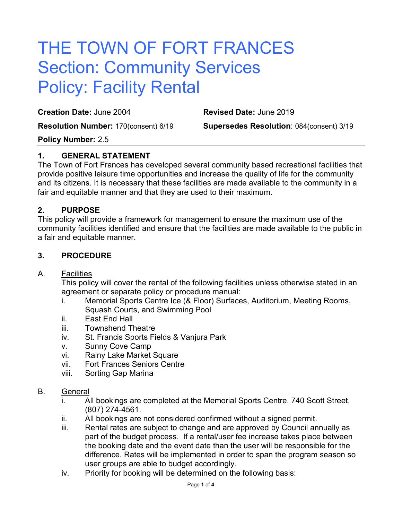# THE TOWN OF FORT FRANCES Section: Community Services Policy: Facility Rental

**Creation Date:** June 2004 **Revised Date:** June 2019

**Resolution Number:** 170(consent) 6/19 **Supersedes Resolution**: 084(consent) 3/19

## **Policy Number:** 2.5

## **1. GENERAL STATEMENT**

The Town of Fort Frances has developed several community based recreational facilities that provide positive leisure time opportunities and increase the quality of life for the community and its citizens. It is necessary that these facilities are made available to the community in a fair and equitable manner and that they are used to their maximum.

#### **2. PURPOSE**

This policy will provide a framework for management to ensure the maximum use of the community facilities identified and ensure that the facilities are made available to the public in a fair and equitable manner.

#### **3. PROCEDURE**

#### A. Facilities

This policy will cover the rental of the following facilities unless otherwise stated in an agreement or separate policy or procedure manual:

- i. Memorial Sports Centre Ice (& Floor) Surfaces, Auditorium, Meeting Rooms, Squash Courts, and Swimming Pool
- ii. East End Hall
- iii. Townshend Theatre
- iv. St. Francis Sports Fields & Vanjura Park
- v. Sunny Cove Camp
- vi. Rainy Lake Market Square
- vii. Fort Frances Seniors Centre
- viii. Sorting Gap Marina

#### B. General

- i. All bookings are completed at the Memorial Sports Centre, 740 Scott Street, (807) 274-4561.
- ii. All bookings are not considered confirmed without a signed permit.
- iii. Rental rates are subject to change and are approved by Council annually as part of the budget process. If a rental/user fee increase takes place between the booking date and the event date than the user will be responsible for the difference. Rates will be implemented in order to span the program season so user groups are able to budget accordingly.
- iv. Priority for booking will be determined on the following basis: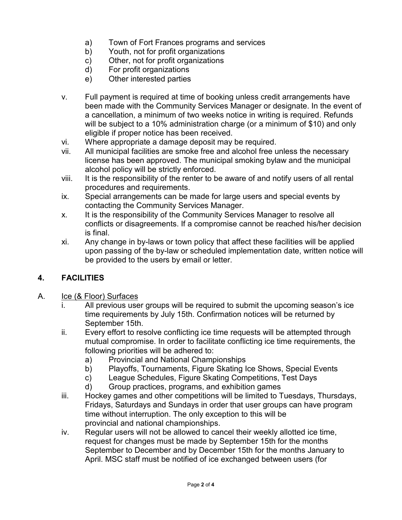- a) Town of Fort Frances programs and services
- b) Youth, not for profit organizations
- c) Other, not for profit organizations
- d) For profit organizations
- e) Other interested parties
- v. Full payment is required at time of booking unless credit arrangements have been made with the Community Services Manager or designate. In the event of a cancellation, a minimum of two weeks notice in writing is required. Refunds will be subject to a 10% administration charge (or a minimum of \$10) and only eligible if proper notice has been received.
- vi. Where appropriate a damage deposit may be required.
- vii. All municipal facilities are smoke free and alcohol free unless the necessary license has been approved. The municipal smoking bylaw and the municipal alcohol policy will be strictly enforced.
- viii. It is the responsibility of the renter to be aware of and notify users of all rental procedures and requirements.
- ix. Special arrangements can be made for large users and special events by contacting the Community Services Manager.
- x. It is the responsibility of the Community Services Manager to resolve all conflicts or disagreements. If a compromise cannot be reached his/her decision is final.
- xi. Any change in by-laws or town policy that affect these facilities will be applied upon passing of the by-law or scheduled implementation date, written notice will be provided to the users by email or letter.

# **4. FACILITIES**

- A. Ice (& Floor) Surfaces
	- i. All previous user groups will be required to submit the upcoming season's ice time requirements by July 15th. Confirmation notices will be returned by September 15th.
	- ii. Every effort to resolve conflicting ice time requests will be attempted through mutual compromise. In order to facilitate conflicting ice time requirements, the following priorities will be adhered to:
		- a) Provincial and National Championships
		- b) Playoffs, Tournaments, Figure Skating Ice Shows, Special Events
		- c) League Schedules, Figure Skating Competitions, Test Days
		- d) Group practices, programs, and exhibition games
	- iii. Hockey games and other competitions will be limited to Tuesdays, Thursdays, Fridays, Saturdays and Sundays in order that user groups can have program time without interruption. The only exception to this will be provincial and national championships.
	- iv. Regular users will not be allowed to cancel their weekly allotted ice time, request for changes must be made by September 15th for the months September to December and by December 15th for the months January to April. MSC staff must be notified of ice exchanged between users (for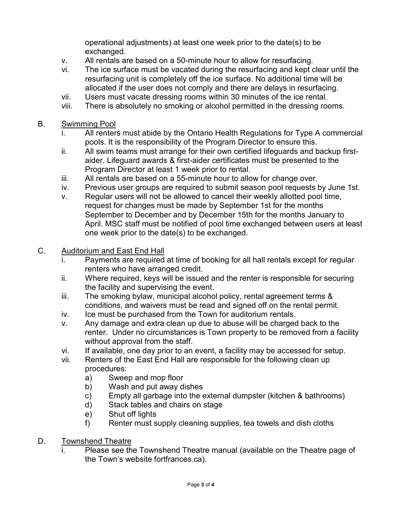operational adjustments) at least one week prior to the date(s) to be exchanged.

- v. All rentals are based on a 50-minute hour to allow for resurfacing.
- vi. The ice surface must be vacated during the resurfacing and kept clear until the resurfacing unit is completely off the ice surface. No additional time will be allocated if the user does not comply and there are delays in resurfacing.
- vii. Users must vacate dressing rooms within 30 minutes of the ice rental.
- viii. There is absolutely no smoking or alcohol permitted in the dressing rooms.
- B. Swimming Pool
	- i. All renters must abide by the Ontario Health Regulations for Type A commercial pools. It is the responsibility of the Program Director to ensure this.
	- ii. All swim teams must arrange for their own certified lifeguards and backup firstaider. Lifeguard awards & first-aider certificates must be presented to the Program Director at least 1 week prior to rental.
	- iii. All rentals are based on a 55-minute hour to allow for change over.
	- iv. Previous user groups are required to submit season pool requests by June 1st.
	- v. Regular users will not be allowed to cancel their weekly allotted pool time, request for changes must be made by September 1st for the months September to December and by December 15th for the months January to April. MSC staff must be notified of pool time exchanged between users at least one week prior to the date(s) to be exchanged.
- C. Auditorium and East End Hall
	- i. Payments are required at time of booking for all hall rentals except for regular renters who have arranged credit.
	- ii. Where required, keys will be issued and the renter is responsible for securing the facility and supervising the event.
	- iii. The smoking bylaw, municipal alcohol policy, rental agreement terms & conditions, and waivers must be read and signed off on the rental permit.
	- iv. Ice must be purchased from the Town for auditorium rentals.
	- v. Any damage and extra clean up due to abuse will be charged back to the renter. Under no circumstances is Town property to be removed from a facility without approval from the staff.
	- vi. If available, one day prior to an event, a facility may be accessed for setup.
	- vii. Renters of the East End Hall are responsible for the following clean up procedures:
		- a) Sweep and mop floor
		- b) Wash and put away dishes
		- c) Empty all garbage into the external dumpster (kitchen & bathrooms)
		- d) Stack tables and chairs on stage
		- e) Shut off lights
		- f) Renter must supply cleaning supplies, tea towels and dish cloths
- D. Townshend Theatre
	- i. Please see the Townshend Theatre manual (available on the Theatre page of the Town's website fortfrances.ca).